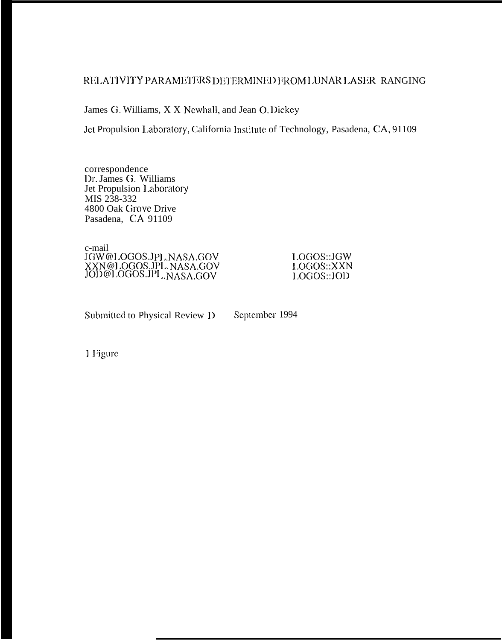# RELATIVITY PARAMETERS DETERMINED FROM LUNAR LASER RANGING

James G. Williams, X X Newhall, and Jean O. Dickey

Jet Propulsion Laboratory, California Institute of Technology, Pasadena, CA, 91109

correspondence Dr. James G. Williams Jet Propulsion Laboratory MIS 238-332 4800 Oak Grove Drive Pasadena, CA 91109

c-mail JGW@LOGOS.JPL.NASA.GOV XXN@LOGOS.JPL.NASA.GOV<br>JOD@LOGOS.JPL.NASA.GOV

LOGOS::JGW LOGOS::XXN LOGOS::JOD

Submitted to Physical Review 1)

September 1994

1 Figure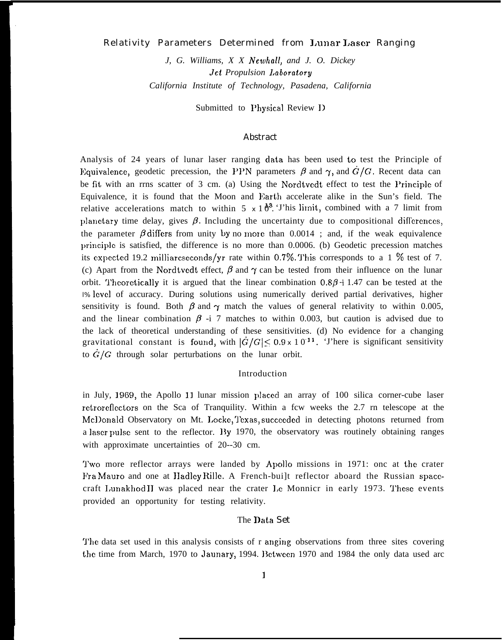# Relativity Parameters Determined from l,unar Laser Ranging

*J, G. Williams, X X Newhall, and J. O. Dickey Jet Propulsion I.aboratory California Institute of Technology, Pasadena, California*

Submitted to Physical Review I)

### Abstract

Analysis of 24 years of lunar laser ranging clata has been used to test the Principle of Equivalence, geodetic precession, the PPN parameters  $\beta$  and  $\gamma$ , and  $\dot{G}/G$ . Recent data can be fit with an rrns scatter of 3 cm. (a) Using the Nordtvedt effect to test the Principle of Equivalence, it is found that the Moon and Earth accelerate alike in the Sun's field. The relative accelerations match to within 5  $x 1 \delta^3$ . This limit, combined with a 7 limit from planctary time delay, gives  $\beta$ . Including the uncertainty due to compositional differences, the parameter  $\beta$  differs from unity by no more than 0.0014 ; and, if the weak equivalence princip]c is satisfied, the difference is no more than 0.0006. (b) Geodetic precession matches its expected 19.2 milliarcseconds/yr rate within 0.7%. This corresponds to a 1 % test of 7. (c) Apart from the Nordtvedt effect,  $\beta$  and  $\gamma$  can be tested from their influence on the lunar orbit. Theoretically it is argued that the linear combination  $0.8\beta + 1.47$  can be tested at the 1% level of accuracy. During solutions using numerically derived partial derivatives, higher sensitivity is found. Both  $\beta$  and  $\gamma$  match the values of general relativity to within 0.005, and the linear combination  $\beta$  -i 7 matches to within 0.003, but caution is advised due to the lack of theoretical understanding of these sensitivities. (d) No evidence for a changing gravitational constant is found, with  $|\dot{G}/G| \leq 0.9 \times 10^{-11}$ . There is significant sensitivity to  $G/G$  through solar perturbations on the lunar orbit.

### Introduction

in July, 1969, the Apollo 11 lunar mission placed an array of 100 silica corner-cube laser rctrorcflcctors on the Sca of Tranquility. Within a fcw weeks the 2.7 rn telescope at the McDonald Observatory on Mt. Locke, Texas, succeeded in detecting photons returned from a laser pulse sent to the reflector. By 1970, the observatory was routinely obtaining ranges with approximate uncertainties of 20--30 cm.

'J'wo more reflector arrays were landed by Apollo missions in 1971: onc at the crater Fra Mauro and one at IIadley Rillc. A French-bui]t reflector aboard the Russian spacecraft Lunakhod II was placed near the crater Le Monnicr in early 1973. These events provided an opportunity for testing relativity.

### The I)ata Set

The data set used in this analysis consists of r anging observations from three sites covering the time from March, 1970 to Jaunary, 1994. Between 1970 and 1984 the only data used arc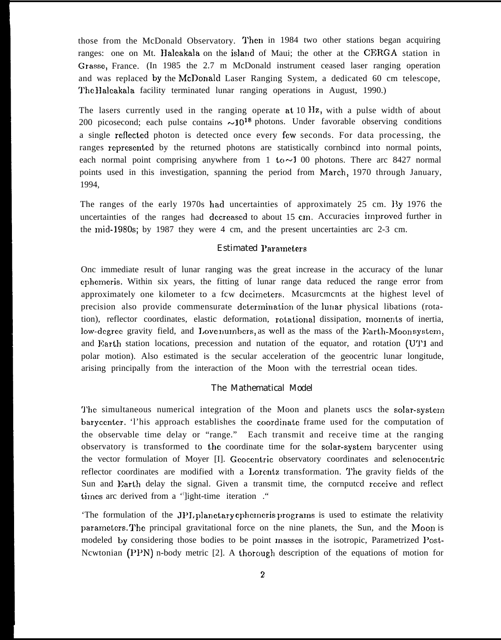those from the McDonald Observatory. 'J'hen in 1984 two other stations began acquiring ranges: one on Mt. Haleakala on the island of Maui; the other at the CERGA station in Grasse, France. (In 1985 the 2.7 m McDonald instrument ceased laser ranging operation and was replaced by the McDonald Laser Ranging System, a dedicated 60 cm telescope, '1'hc Halcakala facility terminated lunar ranging operations in August, 1990.)

The lasers currently used in the ranging operate at  $10 \text{ Hz}$ , with a pulse width of about 200 picosecond; each pulse contains  $\sim 10^{18}$  photons. Under favorable observing conditions a single reflcctcd photon is detected once every fcw seconds. For data processing, the ranges represented by the returned photons are statistically cornbined into normal points, each normal point comprising anywhere from 1 to  $\sim$  1 00 photons. There arc 8427 normal points used in this investigation, spanning the period from March, 1970 through January, 1994,

The ranges of the early 1970s had uncertainties of approximately 25 cm. By 1976 the uncertainties of the ranges had decreased to about  $15 \text{ cm}$ . Accuracies improved further in the mid-1980s; by 1987 they were 4 cm, and the present uncertainties arc 2-3 cm.

# Estimated I'aramcters

Onc immediate result of lunar ranging was the great increase in the accuracy of the lunar cphcmcris. Within six years, the fitting of lunar range data reduced the range error from approximately one kilometer to a fcw decimeters. Mcasurcmcnts at the highest level of precision also provide commensurate determination of the lunar physical libations (rotation), reflector coordinates, elastic deformation, rotational dissipation, moments of inertia, low-degree gravity field, and Love numbers, as well as the mass of the Earth-Moon system, and Earth station locations, precession and nutation of the equator, and rotation (U'J'1 and polar motion). Also estimated is the secular acceleration of the geocentric lunar longitude, arising principally from the interaction of the Moon with the terrestrial ocean tides.

# The Mathematical Model

The simultaneous numerical integration of the Moon and planets uscs the solar-system barycenter. This approach establishes the coordinate frame used for the computation of the observable time delay or "range." Each transmit and receive time at the ranging observatory is transformed to the coordinate time for the solar-system barycenter using the vector formulation of Moyer [I]. Geocentric observatory coordinates and selenocentric reflector coordinates are modified with a Lorentz transformation. The gravity fields of the Sun and Earth delay the signal. Given a transmit time, the cornputed receive and reflect times arc derived from a 'light-time iteration ."

'The formulation of the JPL planetary ephemeris programs is used to estimate the relativity parameters. The principal gravitational force on the nine planets, the Sun, and the Moon is modeled by considering those bodies to be point masses in the isotropic, Parametrized Post-Ncwtonian  $(PPN)$  n-body metric [2]. A thorough description of the equations of motion for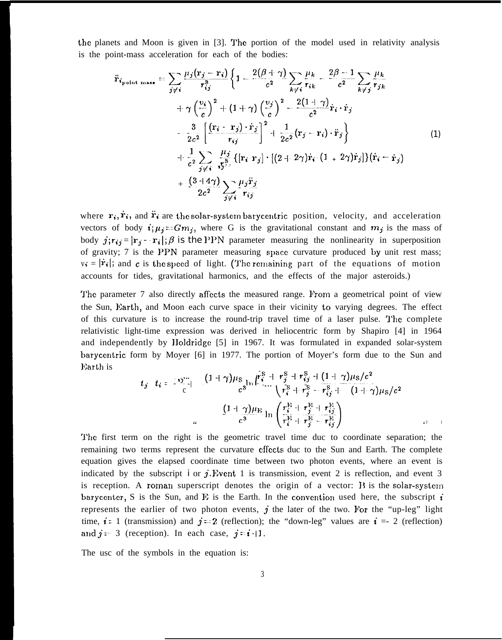the planets and Moon is given in [3]. '1'hc portion of the model used in relativity analysis is the point-mass acceleration for each of the bodies:

$$
\ddot{\mathbf{r}}_{\text{point mass}} = \sum_{j \neq i} \frac{\mu_j(\mathbf{r}_j - \mathbf{r}_i)}{r_{ij}^3} \left\{ 1 - \frac{2(\beta + \gamma)}{c^2} \sum_{k \neq i} \frac{\mu_k}{r_{ik}} - \frac{2\beta - 1}{c^2} \sum_{k \neq j} \frac{\mu_k}{r_{jk}} + \gamma \left(\frac{v_i}{c}\right)^2 + (1 + \gamma) \left(\frac{v_j}{c}\right)^2 - \frac{2(1 + \gamma)}{c^2} \dot{\mathbf{r}}_i \cdot \dot{\mathbf{r}}_j \right\} \n+ \frac{3}{2c^2} \left[ \frac{(\mathbf{r}_i - \mathbf{r}_j) \cdot \dot{\mathbf{r}}_j}{r_{ij}} \right]^2 + \frac{1}{2c^2} (\mathbf{r}_j - \mathbf{r}_i) \cdot \ddot{\mathbf{r}}_j \right\} \n+ \frac{1}{c^2} \sum_{j \neq i} \frac{\mu_j}{r_{ij}^3} \{ [\mathbf{r}_i \cdot \mathbf{r}_j] \cdot [(2 + 2\gamma) \dot{\mathbf{r}}_i \cdot (1 + 2\gamma) \dot{\mathbf{r}}_j] \} (\dot{\mathbf{r}}_i - \dot{\mathbf{r}}_j) \n+ \frac{(3 + 4\gamma)}{2c^2} \sum_{j \neq i} \frac{\mu_j \ddot{\mathbf{r}}_j}{r_{ij}}
$$
\n(1)

where  $\mathbf{r}_i, \dot{\mathbf{r}}_i$ , and  $\ddot{\mathbf{r}}_i$  are the solar-system barycentric position, velocity, and acceleration vectors of body  $i; \mu_j = Gm_j$ , where G is the gravitational constant and  $m_j$  is the mass of body  $j; r_{ij} = |\mathbf{r}_i - \mathbf{r}_i|$ ;  $\beta$  is the PPN parameter measuring the nonlinearity in superposition of gravity;  $7$  is the PPN parameter measuring space curvature produced by unit rest mass;  $v_i = |\dot{r}_i|$ ; and c is the speed of light. (The remaining part of the equations of motion accounts for tides, gravitational harmonics, and the effects of the major asteroids.)

The parameter 7 also directly affects the measured range. From a geometrical point of view the Sun, Earth, and Moon each curve space in their vicinity to varying degrees. The effect of this curvature is to increase the round-trip travel time of a laser pulse. The complete relativistic light-time expression was derived in heliocentric form by Shapiro [4] in 1964 and independently by Holdridge [5] in 1967. It was formulated in expanded solar-system barycentric form by Moyer [6] in 1977. The portion of Moyer's form due to the Sun and Earth is

$$
t_j \t t_i = \frac{19}{c} \left[ \frac{(1+\gamma)\mu_S}{c^3} \right] \left[ \frac{r_i^S + r_j^S + r_{ij}^S + (1+\gamma)\mu_S/c^2}{r_i^S + r_j^S - r_{ij}^S + (1+\gamma)\mu_S/c^2} \right]
$$

$$
= \frac{(1+\gamma)\mu_E}{c^3} \ln \left( \frac{r_i^E + r_j^E + r_{ij}^E}{r_i^E + r_j^E - r_{ij}^E} \right)
$$

'l'he first term on the right is the geometric travel time duc to coordinate separation; the remaining two terms represent the curvature efrects duc to the Sun and Earth. The complete equation gives the elapsed coordinate time between two photon events, where an event is indicated by the subscript i or  $j$ . Event 1 is transmission, event 2 is reflection, and event 3 is reception. A roman superscript denotes the origin of a vector:  $\bf{B}$  is the solar-system barycenter, S is the Sun, and E is the Earth. In the convention used here, the subscript  $\vec{i}$ represents the earlier of two photon events,  $j$  the later of the two. For the "up-leg" light time,  $i = 1$  (transmission) and  $j = 2$  (reflection); the "down-leg" values are  $i = -2$  (reflection) and  $j = 3$  (reception). In each case,  $j = i + 1$ .

The usc of the symbols in the equation is: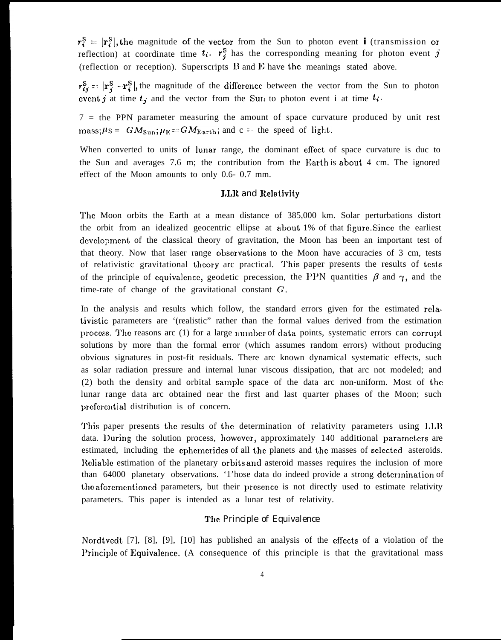$r_i^S = |r_i^S|$ , the magnitude of the vector from the Sun to photon event **i** (transmission or reflection) at coordinate time  $t_i$ .  $r_j^s$  has the corresponding meaning for photon event j (reflection or reception). Superscripts  $B$  and  $E$  have the meanings stated above.

 $r_{i,j}^S = |r_i^S - r_i^S|$ , the magnitude of the difference between the vector from the Sun to photon event j at time  $t_j$  and the vector from the SuIl to photon event i at time  $t_i$ .

7 = the PPN parameter measuring the amount of space curvature produced by unit rest mass;  $\mu$ s =  $GM_{Sun}$ ;  $\mu$ <sub>E</sub> =  $GM_{Earth}$ ; and c == the speed of light.

When converted to units of lunar- range, the dominant effect of space curvature is duc to the Sun and averages 7.6 m; the contribution from the Earth is about 4 cm. The ignored effect of the Moon amounts to only 0.6- 0.7 mm.

# I,LR and Rc]ativity

l'he Moon orbits the Earth at a mean distance of 385,000 km. Solar perturbations distort the orbit from an idealized geocentric ellipse at about 1% of that figure. Since the earliest development of the classical theory of gravitation, the Moon has been an important test of that theory. Now that laser range observations to the Moon have accuracies of  $3 \text{ cm}$ , tests of relativistic gravitational theory arc practical. This paper presents the results of tests of the principle of equivalence, geodetic precession, the PPN quantities  $\beta$  and  $\gamma$ , and the time-rate of change of the gravitational constant G.

In the analysis and results which follow, the standard errors given for the estimated relativistic parameters are '(realistic" rather than the formal values derived from the estimation process. The reasons arc  $(1)$  for a large number of data points, systematic errors can corrupt solutions by more than the formal error (which assumes random errors) without producing obvious signatures in post-fit residuals. There arc known dynamical systematic effects, such as solar radiation pressure and internal lunar viscous dissipation, that arc not modeled; and (2) both the density and orbital samp]c space of the data arc non-uniform. Most of the lunar range data arc obtained near the first and last quarter phases of the Moon; such preferential distribution is of concern.

This paper presents the results of the determination of relativity parameters using  $LLR$ data. During the solution process, however, approximately 140 additional parameters are estimated, including the ephemerides of all the planets and the masses of selected asteroids. Reliable estimation of the planetary orbits and asteroid masses requires the inclusion of more than 64000 planetary observations. '1'hose data do indeed provide a strong determination of the aforementioned parameters, but their presence is not directly used to estimate relativity parameters. This paper is intended as a lunar test of relativity.

# The Principle of Equivalence

Nordtvedt [7], [8], [9], [10] has published an analysis of the eflccts of a violation of the Principle of Equivalence. (A consequence of this principle is that the gravitational mass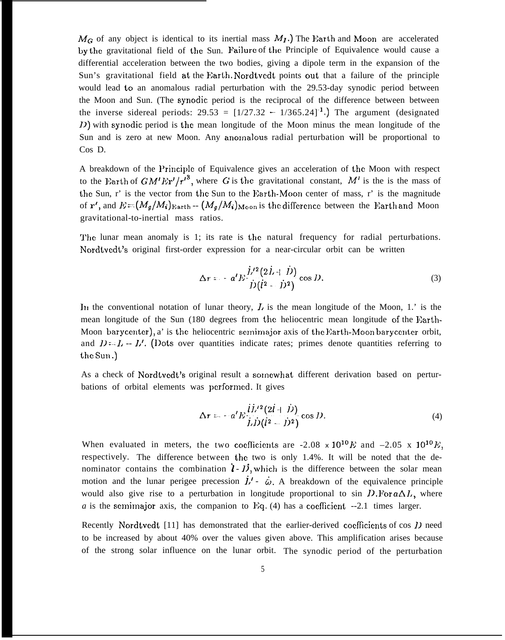$M_G$  of any object is identical to its inertial mass  $M_I$ .) The Earth and Moon are accelerated by the gravitational field of the Sun. Failure of the Principle of Equivalence would cause a differential acceleration between the two bodies, giving a dipole term in the expansion of the Sun's gravitational field at the Earth, Nordtvedt points out that a failure of the principle would lead to an anomalous radial perturbation with the 29.53-day synodic period between the Moon and Sun. (The synodic period is the reciprocal of the difference between between the inverse sidereal periods:  $29.53 = \left[\frac{1}{27.32} - \frac{1}{365.24}\right]$ . The argument (designated  $D$ ) with synodic period is the mean longitude of the Moon minus the mean longitude of the Sun and is zero at new Moon. Any anomalous radial perturbation will be proportional to Cos D.

A breakdown of the l'rinciple of Equivalence gives an acceleration of the Moon with respect to the Earth of  $GM'Er'/r'^3$ , where G is the gravitational constant, M' is the is the mass of the Sun, r' is the vector from the Sun to the Earth-Moon center of mass, r' is the magnitude of r', and  $E = (M_g/M_i)_{\text{Earth}} - (M_g/M_i)_{\text{Moon}}$  is the difference between the Earth and Moon gravitational-to-inertial mass ratios.

The lunar mean anomaly is 1; its rate is the natural frequency for radial perturbations. Nordtvedt's original first-order expression for a near-circular orbit can be written

$$
\Delta r = -a'E \frac{\dot{L}^{\prime 2} (2\dot{L} + \dot{D})}{\dot{D} (\dot{l}^2 - \dot{D}^2)} \cos D.
$$
 (3)

In the conventional notation of lunar theory,  $\overline{L}$  is the mean longitude of the Moon, 1.' is the mean longitude of the Sun (180 degrees from the heliocentric mean longitude of the Earth-Moon barycenter), a' is the heliocentric semimajor axis of the Earth-Moon barycenter orbit, and  $D = L - L'$ . (Dots over quantities indicate rates; primes denote quantities referring to the sun. )

As a check of Nordtvcdt's original result a sorncwhat different derivation based on perturbations of orbital elements was pcrforrncd. It gives

$$
\Delta r = -a^{t} E \frac{\hat{i} \hat{L}^{t/2} (2\hat{i} + \hat{D})}{\hat{j} \hat{D} (\hat{i}^2 - \hat{D}^2)} \cos D.
$$
 (4)

When evaluated in meters, the two coefficients are  $-2.08 \times 10^{10} E$  and  $-2.05 \times 10^{10} E$ respectively. The difference between the two is only 1.4%. It will be noted that the de nominator contains the combination  $\mathbf{i} \cdot \mathbf{D}$ , which is the difference between the solar mean motion and the lunar perigee precession  $\dot{L}' - \dot{\omega}$ . A breakdown of the equivalence principle would also give rise to a perturbation in longitude proportional to sin  $D$ . For  $a\Delta L$ , where *a* is the semimator axis, the companion to Eq. (4) has a coefficient  $-2.1$  times larger.

Recently Nordtvedt  $[11]$  has demonstrated that the earlier-derived coefficients of cos  $D$  need to be increased by about 40% over the values given above. This amplification arises because of the strong solar influence on the lunar orbit. The synodic period of the perturbation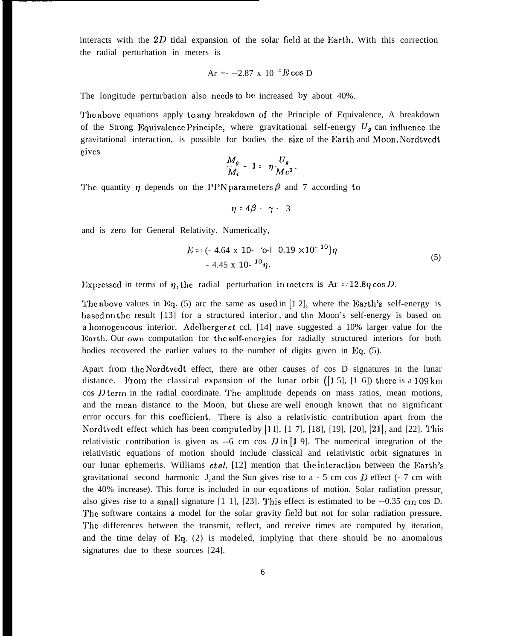interacts with the  $2D$  tidal expansion of the solar field at the Earth. With this correction the radial perturbation in meters is

Ar =- --2.87 x 10 IO Ecos D

The longitude perturbation also needs to be increased by about 40%.

The above equations apply to any breakdown of the Principle of Equivalence, A breakdown of the Strong Equivalence Principle, where gravitational self-energy  $U_g$  can influence the gravitational interaction, is possible for bodies the size of the Earth and Moon. Nordtvedt eives

$$
\frac{M_g}{M_i} - 1 = \eta \frac{U_g}{Mc^2}
$$

The quantity  $\eta$  depends on the PPN parameters  $\beta$  and 7 according to

$$
\eta = 4\beta - \gamma - 3
$$

and is zero for General Relativity. Numerically,

$$
E = (-4.64 \times 10^{-4} \text{ o} - 10.19 \times 10^{-10})\eta
$$
  
- 4.45 x 10<sup>-10</sup>  $\eta$ . (5)

Expressed in terms of  $\eta$ , the radial perturbation in meters is Ar = 12.8 $\eta$  cos D

The above values in Eq.  $(5)$  arc the same as used in [1 2], where the Earth's self-energy is based on the result [13] for a structured interior, and the Moon's self-energy is based on a homogeneous interior. Adelberger et ccl. [14] nave suggested a 10% larger value for the Earth. Our own computation for the self-energies for radially structured interiors for both bodies recovered the earlier values to the number of digits given in Eq.  $(5)$ .

Apart from the Nordtvedt effect, there are other causes of cos D signatures in the lunar distance. From the classical expansion of the lunar orbit  $(1\ 5]$ ,  $[1\ 6]$ ) there is a 109 km  $\cos D$  term in the radial coordinate. The amplitude depends on mass ratios, mean motions, and the mean distance to the Moon, but these are well enough known that no significant error occurs for this coefficient. There is also a relativistic contribution apart from the Nordtvedt effect which has been computed by [1 I],  $[1 7]$ ,  $[18]$ ,  $[19]$ ,  $[20]$ ,  $[21]$ , and  $[22]$ . This relativistic contribution is given as --6 cm cos  $D$  in [1 9]. The numerical integration of the relativistic equations of motion should include classical and relativistic orbit signatures in our lunar ephemeris. Williams *et al.* [12] mention that the interaction between the Earth's gravitational second harmonic J, and the Sun gives rise to a  $-5$  cm cos *I*) effect ( $-7$  cm with the  $40\%$  increase). This force is included in our equations of motion. Solar radiation pressur. also gives rise to a small signature  $[1 \ 1]$ ,  $[23]$ . This effect is estimated to be  $-0.35$  cm cos D. 'J'hc software contains a model for the solar gravity field but not for solar radiation pressure, The differences between the transmit, reflect, and receive times are computed by iteration, and the time delay of  $Eq. (2)$  is modeled, implying that there should be no anomalous signatures due to these sources [24].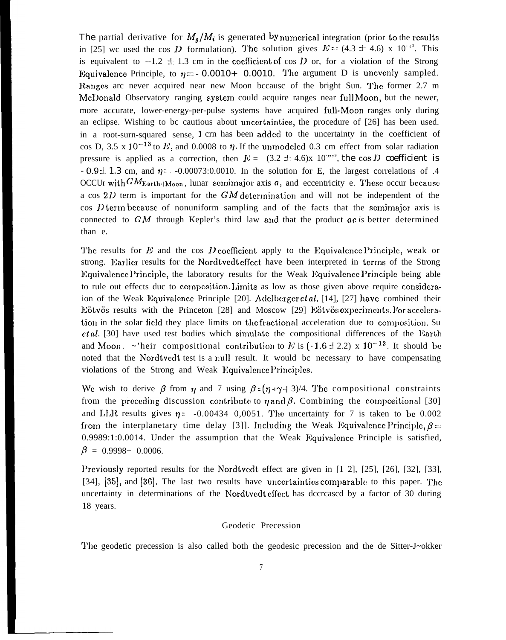The partial derivative for  $M_g/M_i$  is generated by numerical integration (prior to the results in [25] we used the cos D formulation). The solution gives  $E = (4.3 \pm 4.6) \times 10^{-3}$ . This is equivalent to --1.2  $\pm$  1.3 cm in the coefficient of cos D or, for a violation of the Strong Equivalence Principle, to  $\eta = -0.0010+ 0.0010$ . The argument D is unevenly sampled. Ranges arc never acquired near new Moon bccause of the bright Sun. The former 2.7 m Mcl)onald Observatory ranging system could acquire ranges near full Moon, but the newer, more accurate, lower-energy-per-pulse systems have acquired full-Moon ranges only during an eclipse. Wishing to bc cautious about unccrtaintics, the procedure of [26] has been used. in a root-surn-squared sense, I crn has been added to the uncertainty in the coefficient of cos D, 3.5 x 10<sup>-13</sup> to E, and 0.0008 to  $\eta$ . If the unmodeled 0.3 cm effect from solar radiation pressure is applied as a correction, then  $E = (3.2 \pm 4.6) \times 10^{-10}$ , the cos D coefficient is  $-0.9 \pm 1.3$  cm, and  $\eta = -0.00073:0.0010$ . In the solution for E, the largest correlations of .4 OCCUr with  $GM_{Earth+Moon}$ , lunar semimajor axis a, and eccentricity e. These occur because a cos  $2D$  term is important for the GM determination and will not be independent of the  $\cos$  *D* term because of nonuniform sampling and of the facts that the semimajor axis is connected to GM through Kepler's third law and that the product *ae is* better determined than e.

The results for E and the cos D coefficient apply to the Equivalence Principle, weak or strong. Barlier results for the Nordtvedt effect have been interpreted in terms of the Strong Equivalence Principle, the laboratory results for the Weak Equivalence Principle being able to rule out effects duc to composition. Limits as low as those given above require consideraion of the Weak Equivalence Principle [20]. Adelberger *et al.* [14], [27] have combined their Eötvös results with the Princeton [28] and Moscow [29] Eötvös experiments. For acceleration in the solar field they place limits on the fractional acceleration due to composition. Su et al. [30] have used test bodies which simulate the compositional differences of the Earth and Moon. ~'heir compositional contribution to E is (-1.6:1 2.2) x 10<sup>-12</sup>. It should be noted that the Nordtvcdt test is a null result. It would bc necessary to have compensating violations of the Strong and Weak Equivalence Principles.

We wish to derive  $\beta$  from  $\eta$  and 7 using  $\beta = (\eta + \gamma + 3)/4$ . The compositional constraints from the preceding discussion contribute to  $\eta$  and  $\beta$ . Combining the compositional [30] and LLR results gives  $\eta$  : -0.00434 0,0051. The uncertainty for 7 is taken to be 0.002 from the interplanetary time delay [3]]. Including the Weak Equivalence Principle,  $\beta =$  $0.9989:1:0.0014$ . Under the assumption that the Weak Equivalence Principle is satisfied,  $\beta = 0.9998 + 0.0006$ .

Previously reported results for the Nordtvedt effect are given in [1 2], [25], [26], [32], [33], [34], [35], and [36]. The last two results have uncertainties comparable to this paper. The uncertainty in determinations of the Nordtvedt effect has dccrcased by a factor of 30 during 18 years.

#### Geodetic Precession

'J'he geodetic precession is also called both the geodesic precession and the de Sitter-J~okker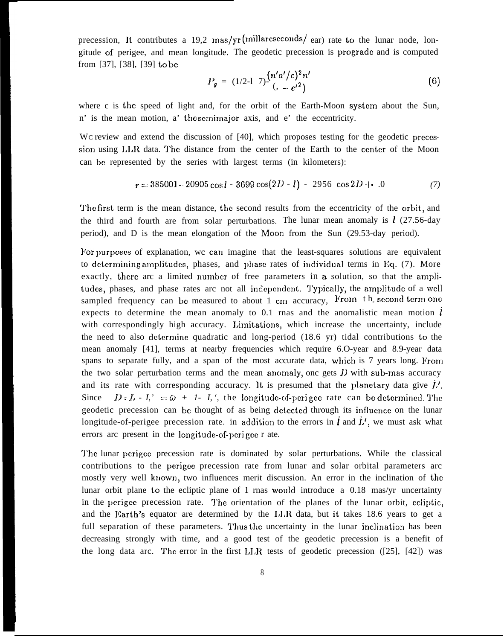precession, It contributes a 19,2 mas/yr (millarcseconds/ear) rate to the lunar node, longitude of perigee, and mean longitude. The geodetic precession is progradc and is computed from [37], [38], [39] to bc

$$
P_g = (1/2-1) \cdot \frac{(n' a'/c)^2 n'}{(1-e'^2)} \tag{6}
$$

where c is the speed of light and, for the orbit of the Earth-Moon system about the Sun, n' is the mean motion, a' the scmimajor axis, and e' the eccentricity.

Wc review and extend the discussion of [40], which proposes testing for the geodetic precession using LLR data. The distance from the center of the Earth to the center of the Moon can be represented by the series with largest terms (in kilometers):

$$
r = 385001 - 20905 \cos l - 3699 \cos(2D - l) - 2956 \cos 2D + 0 \tag{7}
$$

The first term is the mean distance, the second results from the eccentricity of the orbit, and the third and fourth are from solar perturbations. The lunar mean anomaly is  $\ell$  (27.56-day period), and D is the mean elongation of the Moon from the Sun (29.53-day period).

For purposes of explanation, we can imagine that the least-squares solutions are equivalent to determining amplitudes, phases, and  $\mu$ hase rates of individual terms in Eq. (7). More exactly, there arc a limited number of free parameters in a solution, so that the amplitudes, phases, and phase rates arc not all independent. Typically, the amplitude of a well sampled frequency can be measured to about 1 cm accuracy, From  $th$  second term one expects to determine the mean anomaly to 0.1 rnas and the anomalistic mean motion  $\ell$ with correspondingly high accuracy. Limitations, which increase the uncertainty, include the need to also dctcrrnine quadratic and long-period (18.6 yr) tidal contributions to the mean anomaly [41], terms at nearby frequencies which require 6.O-year and 8.9-year data spans to separate fully, and a span of the most accurate data, which is 7 years long. From the two solar perturbation terms and the mean ancmaly, onc gets *1)* with sub-mas accuracy and its rate with corresponding accuracy. It is presumed that the planetary data give  $\dot{L}$ . Since  $D : L - I' = \bar{\omega} + I - I'$ , the longitude-of-perigee rate can be determined. The geodetic precession can be thought of as being detected through its influence on the lunar longitude-of-perigee precession rate. in addition to the errors in  $\vec{l}$  and  $\vec{l}$ , we must ask what errors arc present in the longitude-of-perigee r ate.

'J'hc lunar pcrigcc precession rate is dominated by solar perturbations. While the classical contributions to the perige precession rate from lunar and solar orbital parameters arc mostly very well known, two influences merit discussion. An error in the inclination of the lunar orbit plane to the ecliptic plane of 1 rnas would introduce a 0.18 mas/yr uncertainty in the perigec precession rate. The orientation of the planes of the lunar orbit, ecliptic, and the Earth's equator are determined by the  $LLR$  data, but it takes 18.6 years to get a full separation of these parameters. Thus the uncertainty in the lunar inclination has been decreasing strongly with time, and a good test of the geodetic precession is a benefit of the long data arc. The error in the first  $LLR$  tests of geodetic precession ([25], [42]) was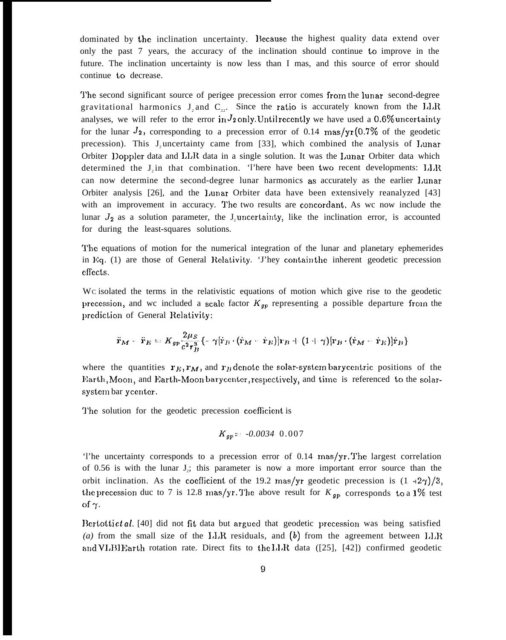dominated by the inclination uncertainty. Because the highest quality data extend over only the past 7 years, the accuracy of the inclination should continue to improve in the future. The inclination uncertainty is now less than I mas, and this source of error should continue to decrease.

'J'he second significant source of perigee precession error comes from the lunar second-degree gravitational harmonics  $J_2$  and  $C_{22}$ . Since the ratio is accurately known from the LLR analyses, we will refer to the error in  $J_2$  only. Until recently we have used a 0.6% uncertainty for the lunar  $J_2$ , corresponding to a precession error of 0.14 mas/yr (0.7% of the geodetic precession). This J, uncertainty came from [33], which combined the analysis of Lunar Orbiter Doppler data and LLR data in a single solution. It was the Lunar Orbiter data which determined the  $J_1$  in that combination. There have been two recent developments:  $J J R$ can now determine the second-degree lunar harmonics as accurately as the earlier l,unar Orbiter analysis [26], and the l,unar Orbiter data have been extensively reanalyzed [43] with an improvement in accuracy. The two results are concordant. As wc now include the lunar  $J_2$  as a solution parameter, the J<sub>2</sub> uncertainty, like the inclination error, is accounted for during the least-squares solutions.

The equations of motion for the numerical integration of the lunar and planetary ephemerides in Eq. (1) are those of General Relativity. 'J'hey contain the inherent geodetic precession effects.

WC isolated the terms in the relativistic equations of motion which give rise to the geodetic precession, and we included a scale factor  $K_{qp}$  representing a possible departure from the prediction of General Relativity:

$$
\ddot{\mathbf{r}}_{M} - \ddot{\mathbf{r}}_{B} = K_{gp} \frac{2\mu_S}{c^2 r_B^3} \left\{ -\gamma [\dot{\mathbf{r}}_B \cdot (\dot{\mathbf{r}}_M - \dot{\mathbf{r}}_B)] \mathbf{r}_B + (1 + \gamma) [\mathbf{r}_B \cdot (\dot{\mathbf{r}}_M - \dot{\mathbf{r}}_B)] \dot{\mathbf{r}}_B \right\}
$$

where the quantities  $r<sub>E</sub>, r<sub>M</sub>$ , and  $r<sub>B</sub>$  denote the solar-system barycentric positions of the Earth, Moon, and Earth-Moon barycenter, respectively, and time is referenced to the solarsystcm bar ycentcr.

The solution for the geodetic precession coefficient is

$$
K_{gp} = -0.0034 \ 0.007
$$

'l'he uncertainty corresponds to a precession error of 0.14 mas/yr. 'J'he largest correlation of 0.56 is with the lunar  $J_2$ ; this parameter is now a more important error source than the orbit inclination. As the coefficient of the 19.2 mas/yr geodetic precession is  $(1 -2\gamma)/3$ , the precession duc to 7 is 12.8 mas/yr. The above result for  $K_{gp}$  corresponds to a 1% test of  $\gamma$ .

Bertotti et al. [40] did not fit data but argued that geodetic precession was being satisfied (a) from the small size of the  $LLR$  residuals, and  $(b)$  from the agreement between  $LLR$ and VLBI Earth rotation rate. Direct fits to the I.J.R data ( $[25]$ ,  $[42]$ ) confirmed geodetic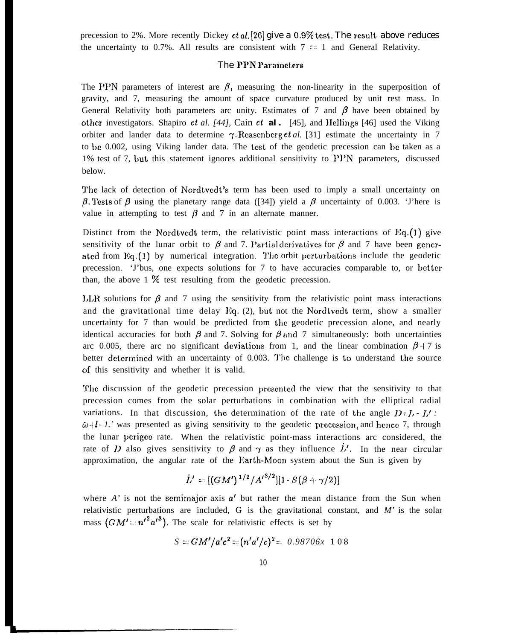precession to 2%. More recently Dickey *et al.* [26] give a 0.9% test. The result above reduces the uncertainty to 0.7%. All results are consistent with  $7 \approx 1$  and General Relativity.

# The PPN Parameters

The PPN parameters of interest are  $\beta$ , measuring the non-linearity in the superposition of gravity, and 7, measuring the amount of space curvature produced by unit rest mass. In General Relativity both parameters arc unity. Estimates of 7 and  $\beta$  have been obtained by other investigators. Shapiro et *al. [44],* Cain et *al.* [45], and IIellings [46] used the Viking orbiter and lander data to determine  $\gamma$ . Reasenberg *et al.* [31] estimate the uncertainty in 7 to bc 0.002, using Viking lander data. The test of the geodetic precession can bc taken as a 1% test of 7, but this statement ignores additional sensitivity to PPN parameters, discussed below.

The lack of detection of Nordtvedt's term has been used to imply a small uncertainty on  $\beta$ . Tests of  $\beta$  using the planetary range data ([34]) yield a  $\beta$  uncertainty of 0.003. 'J'here is value in attempting to test  $\beta$  and 7 in an alternate manner.

Distinct from the Nordtvedt term, the relativistic point mass interactions of  $Eq.(1)$  give sensitivity of the lunar orbit to  $\beta$  and 7. Partial derivatives for  $\beta$  and 7 have been generated from  $Eq. (1)$  by numerical integration. The orbit perturbations include the geodetic precession. 'J'bus, one expects solutions for 7 to have accuracies comparable to, or better than, the above  $1\%$  test resulting from the geodetic precession.

I.I.R solutions for  $\beta$  and 7 using the sensitivity from the relativistic point mass interactions and the gravitational time delay  $Eq. (2)$ , but not the Nordtvedt term, show a smaller uncertainty for 7 than would be predicted from the geodetic precession alone, and nearly identical accuracies for both  $\beta$  and 7. Solving for  $\beta$  and 7 simultaneously: both uncertainties arc 0.005, there arc no significant deviations from 1, and the linear combination  $\beta$  + 7 is better determined with an uncertainty of 0.003. The challenge is to understand the source c)f this sensitivity and whether it is valid.

The discussion of the geodetic precession presented the view that the sensitivity to that precession comes from the solar perturbations in combination with the elliptical radial variations. In that discussion, the determination of the rate of the angle  $D: I, -I'$ :  $\ddot{\omega}$ -*I*  $\cdot$  *I*.' was presented as giving sensitivity to the geodetic precession, and hence 7, through the lunar pcrigcc rate. When the relativistic point-mass interactions arc considered, the rate of *I*) also gives sensitivity to  $\beta$  and  $\gamma$  as they influence  $\dot{L}'$ . In the near circular approximation, the angular rate of the Earth-Moon system about the Sun is given by

$$
L'=[(GM')^{1/2}/{A'}^{3/2}][1\cdot S(\beta+\gamma/2)]
$$

where  $A'$  is not the semimation axis  $a'$  but rather the mean distance from the Sun when relativistic perturbations are included, G is the gravitational constant, and  $M'$  is the solar mass  $(GM' = n'^{2}a'^{3})$ . The scale for relativistic effects is set by

$$
S = GM'/a'c^2 = (n'a'/c)^2 = 0.98706x \ 108
$$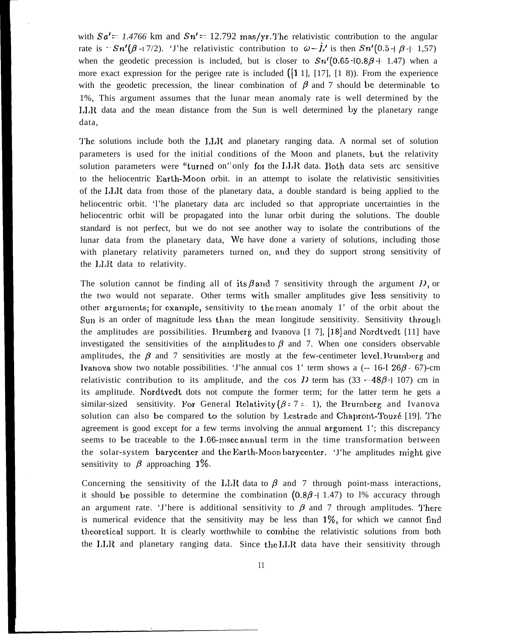with  $Sa' = 1.4766$  km and  $Sn' = 12.792$  mas/yr. The relativistic contribution to the angular rate is  $-Sn'(\beta-17/2)$ . The relativistic contribution to  $\bar{\omega}-\bar{l}$ , is then  $Sn'(0.5+\beta+1.57)$ when the geodetic precession is included, but is closer to  $Sn'(0.65 \text{--} 1.869 \text{+-} 1.47)$  when a more exact expression for the perigee rate is included  $([1 1], [1 7], [1 8])$ . From the experience with the geodetic precession, the linear combination of  $\beta$  and 7 should be determinable to 1%, This argument assumes that the lunar mean anomaly rate is well determined by the LLR data and the mean distance from the Sun is well determined by the planetary range data,

'J'hc solutions include both the 1,1X and planetary ranging data. A normal set of solution parameters is used for the initial conditions of the Moon and planets, hut the relativity solution parameters were "turned on" only for the  $LLR$  data. Both data sets arc sensitive to the heliocentric Earth-Moon orbit. in an attempt to isolate the relativistic sensitivities of the 1,1X data from those of the planetary data, a double standard is being applied to the heliocentric orbit. 'l'he planetary data arc included so that appropriate uncertainties in the heliocentric orbit will be propagated into the lunar orbit during the solutions. The double standard is not perfect, but we do not see another way to isolate the contributions of the lunar data from the planetary data, Wc have done a variety of solutions, including those with planetary relativity parameters turned on, and they do support strong sensitivity of the LLR data to relativity.

The solution cannot be finding all of its  $\beta$  and 7 sensitivity through the argument D, or the two would not separate. Other terms with smaller amplitudes give less sensitivity to other arguments; for example, sensitivity to the mean anomaly  $1'$  of the orbit about the Sun is an order of magnitude less than the mean longitude sensitivity. Sensitivity through the amplitudes are possibilities. Brumberg and Ivanova  $[1\ 7]$ ,  $[18]$  and Nordtvedt  $[11]$  have investigated the sensitivities of the amplitudes to  $\beta$  and 7. When one considers observable amplitudes, the  $\beta$  and 7 sensitivities are mostly at the few-centimeter level. Brumberg and lvanova show two notable possibilities. 'J'he annual cos 1' term shows a  $(-16-126)\beta$  - 67)-cm relativistic contribution to its amplitude, and the cos *D* term has  $(33 - 48\beta + 107)$  cm in its amplitude. Nordtvedt dots not compute the former term; for the latter term he gets a similar-sized sensitivity. For General Relativity  $(\beta = 7 - 1)$ , the Brumberg and Ivanova solution can also be compared to the solution by Lestrade and Chapront-Touzé [19]. The agreement is good except for a few terms involving the annual argurncnt 1'; this discrepancy seems to be traceable to the  $1.66$ -msec annual term in the time transformation between the solar-system barycenter and the Earth-Moon barycenter. 'J'he amplitudes might give sensitivity to  $\beta$  approaching 1%.

Concerning the sensitivity of the LLR data to  $\beta$  and 7 through point-mass interactions, it should be possible to determine the combination  $(0.8\beta + 1.47)$  to 1% accuracy through an argument rate. 'J'here is additional sensitivity to  $\beta$  and 7 through amplitudes. There is numerical evidence that the sensitivity may be less than  $1\%$ , for which we cannot find theorctica] support. It is clearly worthwhile to cornbinc the relativistic solutions from both the LLR and planetary ranging data. Since the LLR data have their sensitivity through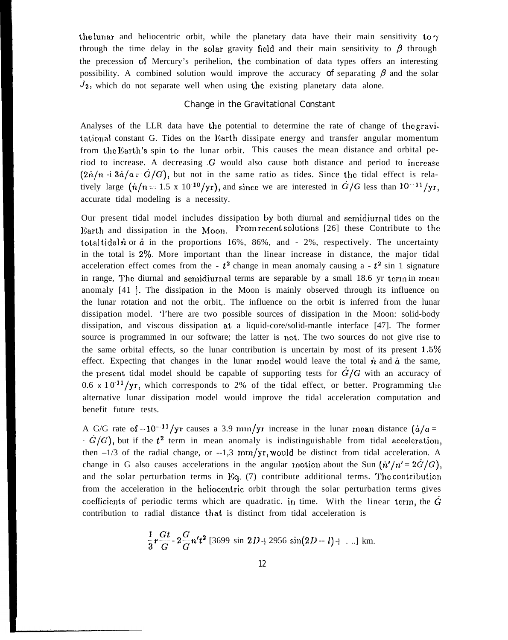the lunar and heliocentric orbit, while the planetary data have their main sensitivity to  $\gamma$ through the time delay in the solar gravity field and their main sensitivity to  $\beta$  through the precession of Mercury's perihelion, the combination of data types offers an interesting possibility. A combined solution would improve the accuracy of separating  $\beta$  and the solar  $J_2$ , which do not separate well when using the existing planetary data alone.

# Change in the Gravitational Constant

Analyses of the LLR data have the potential to determine the rate of change of the gravitational constant G. Tides on the Earth dissipate energy and transfer angular momentum from the Rarth's spin to the lunar orbit. This causes the mean distance and orbital period to increase. A decreasing  $G$  would also cause both distance and period to increase  $(2n/n -i 3\dot{a}/a = \dot{G}/G)$ , but not in the same ratio as tides. Since the tidal effect is relatively large  $(\dot{n}/n = 1.5 \times 10^{-10}/yr)$ , and since we are interested in  $\dot{G}/G$  less than  $10^{-11}/yr$ , accurate tidal modeling is a necessity.

Our present tidal model includes dissipation by both diurnal and semidiurnal tides on the Earth and dissipation in the Moon. From recent solutions [26] these Contribute to the total tidal *n* or  $\dot{a}$  in the proportions 16%, 86%, and - 2%, respectively. The uncertainty in the total is *2Y0.* More important than the linear increase in distance, the major tidal acceleration effect comes from the -  $t^2$  change in mean anomaly causing a -  $t^2$  sin 1 signature in range. The diurnal and semidiurnal terms are separable by a small  $18.6$  yr term in mean anomaly [41 ]. The dissipation in the Moon is mainly observed through its influence on the lunar rotation and not the orbit,. The influence on the orbit is inferred from the lunar dissipation model. 'l'here are two possible sources of dissipation in the Moon: solid-body dissipation, and viscous dissipation at a liquid-core/solid-mantle interface [47]. The former source is programmed in our software; the latter is not, The two sources do not give rise to the same orbital effects, so the lunar contribution is uncertain by most of its present  $1.5\%$ effect. Expecting that changes in the lunar model would leave the total  $\dot{n}$  and  $\dot{a}$  the same, the present tidal model should be capable of supporting tests for  $\dot{G}/G$  with an accuracy of 0.6  $x$  10<sup>-11</sup>/yr, which corresponds to 2% of the tidal effect, or better. Programming the alternative lunar dissipation model would improve the tidal acceleration computation and benefit future tests.

A G/G rate of --10<sup>--11</sup>/yr causes a 3.9 mm/yr increase in the lunar mean distance  $(\dot{a}/a =$  $-\dot{G}/G$ , but if the  $t^2$  term in mean anomaly is indistinguishable from tidal acceleration, then  $-1/3$  of the radial change, or  $-1.3$  mm/yr, would be distinct from tidal acceleration. A change in G also causes accelerations in the angular motion about the Sun  $(\dot{n}'/n' = 2\dot{G}/G)$ , and the solar perturbation terms in Eq.  $(7)$  contribute additional terms. The contribution from the acceleration in the heliocentric orbit through the solar perturbation terms gives coefficients of periodic terms which are quadratic. in time. With the linear term, the  $\dot{G}$ contribution to radial distance that is distinct from tidal acceleration is

$$
\frac{1}{3}r\frac{Gt}{G} - 2\frac{G}{G}n't^2 \,[3699 \sin 2D + 2956 \sin(2D - l) + \ldots] \text{ km.}
$$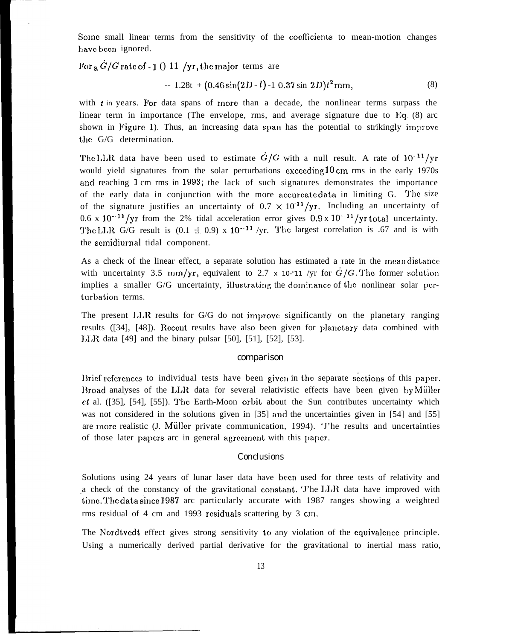Some small linear terms from the sensitivity of the coefficients to mean-motion changes have been ignored.

For  $a \dot{G}/G$  rate of - 1 ()<sup>-11</sup> /yr, the major terms are

$$
-1.28t + (0.46\sin(2D - l) - 10.37\sin 2D)t^2
$$
mm, (8)

with  $t$  in years. For data spans of more than a decade, the nonlinear terms surpass the linear term in importance (The envelope, rms, and average signature due to  $Eq. (8)$  arc shown in Figure 1). Thus, an increasing data span has the potential to strikingly improve the G/G determination.

The LLR data have been used to estimate  $\dot{G}/G$  with a null result. A rate of 10<sup>-11</sup>/yr would yield signatures from the solar perturbations exceeding 10 cm rms in the early 1970s and reaching 1 cm rms in 1993; the lack of such signatures demonstrates the importance of the early data in conjunction with the more accurreate data in limiting G. The size of the signature justifies an uncertainty of  $0.7 \times 10^{-11}/yr$ . Including an uncertainty of 0.6 x  $10^{-11}$ /yr from the 2% tidal acceleration error gives 0.9 x  $10^{-11}$ /yr total uncertainty. The LLR G/G result is  $(0.1 \pm 0.9)$  x  $10^{-11}$  /yr. The largest correlation is .67 and is with the scmidiurnal tidal component.

As a check of the linear effect, a separate solution has estimated a rate in the mean distance with uncertainty 3.5 mm/yr, equivalent to 2.7 *x* 10-"11 /yr for  $\dot{G}/G$ . The former solution implies a smaller G/G uncertainty, illustrating the dominance of the nonlinear solar perturbation terms.

The present  $LLR$  results for  $G/G$  do not improve significantly on the planetary ranging results ([34], [48]). Recent results have also been given for planetary data combined with I,I,R data [49] and the binary pulsar [50], [51], [52], [53].

#### comparison

Brief references to individual tests have been given in the separate sections of this paper. Broad analyses of the  $LLR$  data for several relativistic effects have been given by Müller et al. ([35], [54], [55]). '1'hc Earth-Moon orbit about the Sun contributes uncertainty which was not considered in the solutions given in [35] and the uncertainties given in [54] and [55] are more realistic (J. Müller private communication, 1994). 'J'he results and uncertainties of those later papers arc in general agreement with this paper.

#### Conclusions

Solutions using 24 years of lunar laser data have been used for three tests of relativity and a check of the constancy of the gravitational constant. The LLR data have improved with time. The data since 1987 arc particularly accurate with 1987 ranges showing a weighted rms residual of 4 cm and 1993 residuals scattering by 3 cm.

The Nordtvedt effect gives strong sensitivity to any violation of the equivalence principle. Using a numerically derived partial derivative for the gravitational to inertial mass ratio,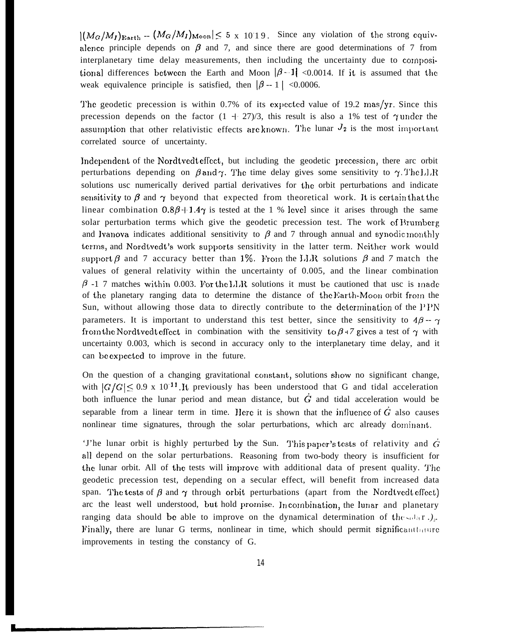$|(M_G/M_I)_{\rm Earth} - (M_G/M_I)_{\rm Moon}| \leq 5$  x 1019. Since any violation of the strong equivalence principle depends on  $\beta$  and 7, and since there are good determinations of 7 from interplanetary time delay measurements, then including the uncertainty due to compositional differences between the Earth and Moon  $|\beta - 1|$  <0.0014. If it is assumed that the weak equivalence principle is satisfied, then  $|\beta - 1|$  <0.0006.

The geodetic precession is within 0.7% of its expected value of 19.2 mas/yr. Since this precession depends on the factor  $(1 + 27)/3$ , this result is also a 1% test of  $\gamma$  under the assumption that other relativistic effects are known. The lunar  $J_2$  is the most important correlated source of uncertainty.

Independent of the Nordtvedt effect, but including the geodetic precession, there are orbit perturbations depending on  $\beta$  and  $\gamma$ . The time delay gives some sensitivity to  $\gamma$ . The LLR solutions usc numerically derived partial derivatives for the orbit perturbations and indicate sensitivity to  $\beta$  and  $\gamma$  beyond that expected from theoretical work. It is certain that the linear combination  $0.8\beta + 1.4\gamma$  is tested at the 1 % level since it arises through the same solar perturbation terms which give the geodetic precession test. The work of Brumberg and Ivanova indicates additional sensitivity to  $\beta$  and 7 through annual and synodic monthly terms, and Nordtvedt's work supports sensitivity in the latter term. Neither work would support  $\beta$  and 7 accuracy better than 1%. From the I.I.R solutions  $\beta$  and 7 match the values of general relativity within the uncertainty of 0.005, and the linear combination  $\beta$  -1 7 matches within 0.003. For the LLR solutions it must be cautioned that usc is made of the planetary ranging data to determine the distance of the Earth-Moon orbit from the Sun, without allowing those data to directly contribute to the determination of the  $PPN$ parameters. It is important to understand this test better, since the sensitivity to  $4\beta - \gamma$ from the Nordtvedt effect in combination with the sensitivity to  $\beta$  +7 gives a test of  $\gamma$  with uncertainty 0.003, which is second in accuracy only to the interplanetary time delay, and it can be cxpcctcd to improve in the future.

On the question of a changing gravitational constant, solutions show no significant change, with  $|G/G|$  < 0.9 x 10<sup>-11</sup>. It previously has been understood that G and tidal acceleration both influence the lunar period and mean distance, but  $\dot{G}$  and tidal acceleration would be separable from a linear term in time. Here it is shown that the influence of  $\dot{G}$  also causes nonlinear time signatures, through the solar perturbations, which arc already dominant.

'J'he lunar orbit is highly perturbed by the Sun. This paper's tests of relativity and  $\dot{G}$ all depend on the solar perturbations. Reasoning from two-body theory is insufficient for the lunar orbit. All of the tests will improve with additional data of present quality. The geodetic precession test, depending on a secular effect, will benefit from increased data span. The tests of  $\beta$  and  $\gamma$  through orbit perturbations (apart from the Nordtvedt effect) arc the least well understood, but hold promise. In combination, the lunar and planetary ranging data should be able to improve on the dynamical determination of the  $\frac{1}{2}$ . Finally, there are lunar G terms, nonlinear in time, which should permit significant but in improvements in testing the constancy of G.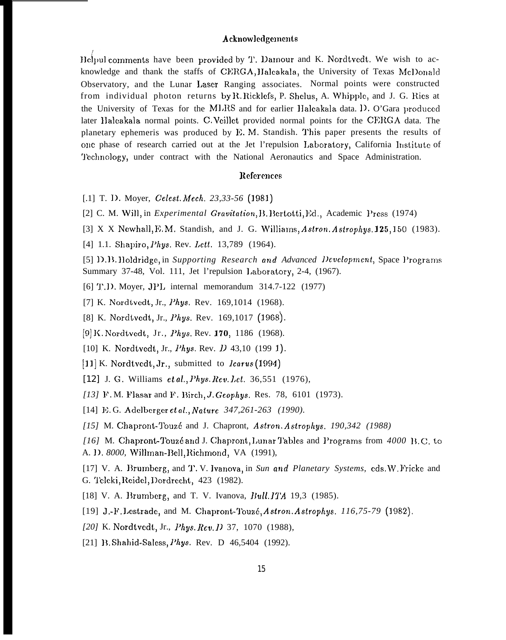#### Acknowledgements

Helpul comments have been provided by T. Damour and K. Nordtvedt. We wish to acknowledge and thank the staffs of CERGA, Halcakala, the University of Texas McDonald Observatory, and the Lunar Laser Ranging associates. Normal points were constructed from individual photon returns by R. Ricklefs, P. Shelus, A. Whipple, and J. G. Ries at the University of Texas for the MLRS and for earlier Halcakala data. 1). O'Gara produced later IIaleakala normal points. C. Vcillct provided normal points for the CERGA data. The planetary ephemeris was produced by E. M. Standish. This paper presents the results of onc phase of research carried out at the Jet l'repulsion Laboratory, California Institute of 'J'cchnology, under contract with the National Aeronautics and Space Administration.

# References

- [.1] T. 1). Moyer, *Celest. i14ech, 23,33-56 (1981)*
- [2] C. M. Will, in *Experimental Gravitation*, *B. Bertotti, Ed.*, Academic Press (1974)
- [3] X X Newhall, E.M. Standish, and J. G. Williams,  $Astron. Astrophys.$  125, 150 (1983).
- [4] 1.1. Shapiro, *Phys. Rev. Lett.* 13,789 (1964).
- [5] D. B. Holdridge, in *Supporting Research and Advanced Development*, Space Programs Summary 37-48, Vol. 111, Jet l'repulsion l,ahoratory, 2-4, (1967).
- [6] T.D. Moyer, JPL internal memorandum 314.7-122 (1977)
- [7] K. Nordtvedt, Jr., Phys. Rev. 169,1014 (1968).
- [8] K. Nordtvedt, Jr., *Phys.* Rev. 169,1017 (1968).
- [9] K. Nordtvedt, Jr., Phys. Rev. 170, 1186 (1968).
- [10] K. Nordtvedt, Jr., *Phys. Rev. D* 43,10 (199 1).
- [11] K. Nordtvedt, Jr., submitted to *Icarus* (1994)
- [12] J. G. Williams et al., *Phys. Rev. Let.* 36,551 (1976),
- [13] F.M. Flasar and F. Birch, *J. Geophys. Res.* 78, 6101 (1973).
- [14] l{;. G. Adclberger et al., *Nature 347,261-263 (1990).*
- *[15]* M. Chapront-Touzé and J. Chapront, Astron. Astrophys. 190,342 (1988)
- *[16]* M. Chapront-g'ouz6 a~,d J. Chapront, l,unar 'J'ablcs and l'rograms from *4000 }]. C.* **tO** A. D. 8000, Willman-Bell, Richmond, VA (1991),
- [17] V. A. lhwmbcrg, and '1'. V. lvanova, in *Sun and Planetary Systems,* cds. W. l'ricke and G. Teleki, Reidel, Dordrecht, 423 (1982).
- [18] V. A. Brumberg, and T. V. Ivanova, Bull. ITA 19,3 (1985).
- [19] J.-1'. l.cstradc, and M. Chapront-1'ouz6, *Astron. Astrophys. 116,75-79 (1982),*
- [20] K. Nordtvedt, Jr., Phys. Rev. *D* 37, 1070 (1988),
- [21] B. Shahid-Saless, *Phys.* Rev. D 46,5404 (1992).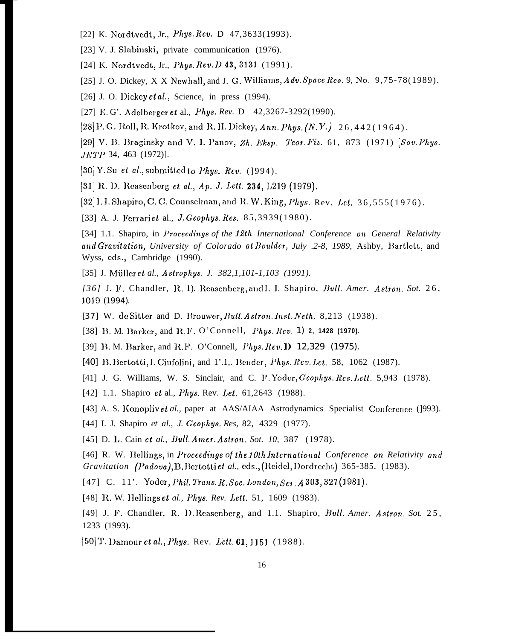[22] K. Nordtvedt, Jr., Phys. Rev. D 47,3633(1993).

[23] V. J. Slabinski, private communication (1976).

[24] K. Nordtvedt, Jr., Phys. Rev. D 43, 3131 (1991).

[25] J. O. Dickey, X X Newhall, and J. G. Williams,  $Adv. Space Res. 9$ , No.  $9,75-78(1989)$ .

[26] J. O. Dickey et al., Science, in press (1994).

[27] E.G'. Adelberger et al., Phys. Rev. D 42,3267-3292(1990).

[28] P. G. Roll, R. Krotkov, and R. H. Dickey, Ann. Phus.  $(N, Y, )$  26, 442(1964).

[29] V. B. Braginsky and V. I. Panov, Zh. Eksp. Teor. Fiz. 61, 873 (1971) [Sov. Phys. *JETP* 34, 463 (1972)].

[30] Y. Su et al., submitted to Phys. Rev. (1994).

[31] R. D. Reasenberg et al., Ap. J. Lett. 234, L219 (1979).

[32] I. I. Shapiro, C. C. Counselman, and R. W. King, Phys. Rev. Let. 36,555(1976).

[33] A. J. Ferrariet al., J. Geophys. Res. 85,3939(1980).

[34] 1.1. Shapiro, in *Proceedings of the 12th International Conference on General Relativity* and Gravitation, University of Colorado at Boulder, July .2-8, 1989, Ashby, Bartlett, and Wyss, eds., Cambridge (1990).

[35] J. Müller et al., Astrophys. J. 382,1,101-1,103 (1991).

[36] J. F. Chandler, R. 1). Reasenberg, and I. J. Shapiro, Bull. Amer. Astron. Sot. 26, 1019 (1994).

[37] W. de Sitter and D. Brouwer, Bull. Astron. Inst. Neth. 8,213 (1938).

[38] B. M. Barker, and R.F. O'Connell, *Phys. Rev.* 1) 2, 1428 (1970).

[39] B. M. Barker, and R.F. O'Connell, *Phys. Rev.* **D** 12,329 (1975).

[40] B. Bertotti, I. Ciufolini, and 1'.1, Bender, *Phys. Rev. Let.* 58, 1062 (1987).

[41] J. G. Williams, W. S. Sinclair, and C. F. Yoder, Geophys. Res. Lett. 5,943 (1978).

[42] 1.1. Shapiro et al., *Phys. Rev. Let.* 61,2643 (1988).

[43] A. S. Konopliv *et al.*, paper at AAS/AIAA Astrodynamics Specialist Conference (1993).

[44] I. J. Shapiro et al., J. Geophys. Res, 82, 4329 (1977).

[45] D. L. Cain et al., Bull. Amer. Astron. Sot. 10, 387 (1978).

[46] R. W. Hellings, in Proceedings of the 10th International Conference on Relativity and Gravitation (Padova), B. Bertotti et al., eds., (Reidel, Dordrecht) 365-385, (1983).

[47] C. 11'. Yoder, Phil. Trans. R. Soc. London, Ser. A 303, 327 (1981).

[48] R. W. Hellings et al., Phys. Rev. Lett. 51, 1609 (1983).

[49] J. F. Chandler, R. D. Reasenberg, and 1.1. Shapiro, Bull. Amer. Astron. Sot. 25, 1233 (1993).

[50] T. Damour et al., Phys. Rev. Lett.  $61, 1151$  (1988).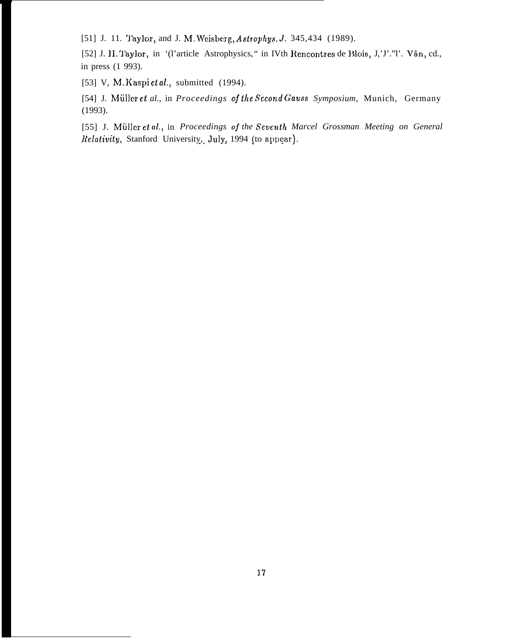[51] J. 11. Taylor, and J. M. Weisberg, Astrophys. J. 345,434 (1989).

[52] J. H. Taylor, in '(l'article Astrophysics," in IVth Rencontres de Blois, J,'J'."l'. Vân, cd., in press (1 993).

[53] V, M. Kaspi et al., submitted (1994).

[54] J. Müller et al., in *Proceedings of the Second Gauss Symposium*, Munich, Germany (1993).

[55] J. Müller et al., in *Proceedings of the Seventh Marcel Grossman Meeting on General* [55] J. Müller *et al.*, in *Proceedings of the Seventh M*<br>*Relativity*, Stanford Universit<u>y</u>, July, 1994 (to appear)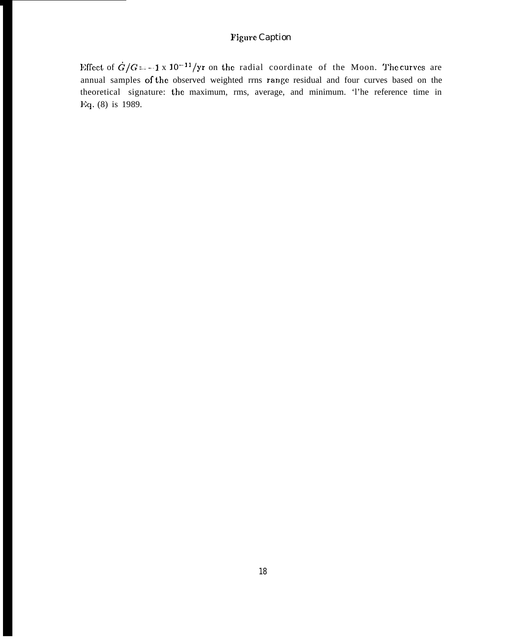# **Figure Caption**

Effect of  $\dot{G}/G = -1 \times 10^{-11}/yr$  on the radial coordinate of the Moon. The curves are annual samples of the observed weighted rrns range residual and four curves based on the theoretical signature: the maximum, rms, average, and minimum. 'l'he reference time in l~;q. (8) is 1989.